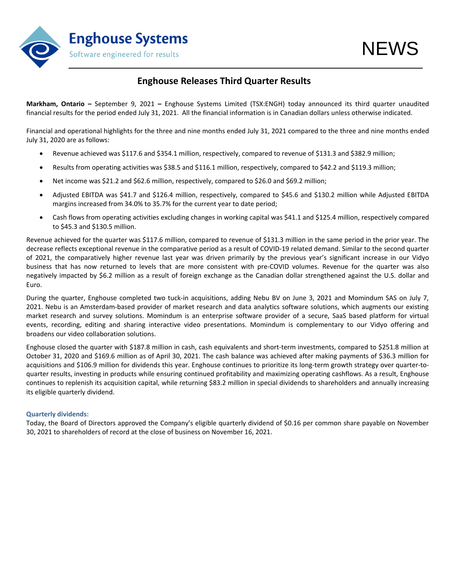

## **Enghouse Releases Third Quarter Results**

**Markham, Ontario –** September 9, 2021 **–** Enghouse Systems Limited (TSX:ENGH) today announced its third quarter unaudited financial results for the period ended July 31, 2021. All the financial information is in Canadian dollars unless otherwise indicated.

Financial and operational highlights for the three and nine months ended July 31, 2021 compared to the three and nine months ended July 31, 2020 are as follows:

- Revenue achieved was \$117.6 and \$354.1 million, respectively, compared to revenue of \$131.3 and \$382.9 million;
- Results from operating activities was \$38.5 and \$116.1 million, respectively, compared to \$42.2 and \$119.3 million;
- Net income was \$21.2 and \$62.6 million, respectively, compared to \$26.0 and \$69.2 million;
- Adjusted EBITDA was \$41.7 and \$126.4 million, respectively, compared to \$45.6 and \$130.2 million while Adjusted EBITDA margins increased from 34.0% to 35.7% for the current year to date period;
- Cash flows from operating activities excluding changes in working capital was \$41.1 and \$125.4 million, respectively compared to \$45.3 and \$130.5 million.

Revenue achieved for the quarter was \$117.6 million, compared to revenue of \$131.3 million in the same period in the prior year. The decrease reflects exceptional revenue in the comparative period as a result of COVID-19 related demand. Similar to the second quarter of 2021, the comparatively higher revenue last year was driven primarily by the previous year's significant increase in our Vidyo business that has now returned to levels that are more consistent with pre-COVID volumes. Revenue for the quarter was also negatively impacted by \$6.2 million as a result of foreign exchange as the Canadian dollar strengthened against the U.S. dollar and Euro.

During the quarter, Enghouse completed two tuck-in acquisitions, adding Nebu BV on June 3, 2021 and Momindum SAS on July 7, 2021. Nebu is an Amsterdam-based provider of market research and data analytics software solutions, which augments our existing market research and survey solutions. Momindum is an enterprise software provider of a secure, SaaS based platform for virtual events, recording, editing and sharing interactive video presentations. Momindum is complementary to our Vidyo offering and broadens our video collaboration solutions.

Enghouse closed the quarter with \$187.8 million in cash, cash equivalents and short-term investments, compared to \$251.8 million at October 31, 2020 and \$169.6 million as of April 30, 2021. The cash balance was achieved after making payments of \$36.3 million for acquisitions and \$106.9 million for dividends this year. Enghouse continues to prioritize its long-term growth strategy over quarter-toquarter results, investing in products while ensuring continued profitability and maximizing operating cashflows. As a result, Enghouse continues to replenish its acquisition capital, while returning \$83.2 million in special dividends to shareholders and annually increasing its eligible quarterly dividend.

### **Quarterly dividends:**

Today, the Board of Directors approved the Company's eligible quarterly dividend of \$0.16 per common share payable on November 30, 2021 to shareholders of record at the close of business on November 16, 2021.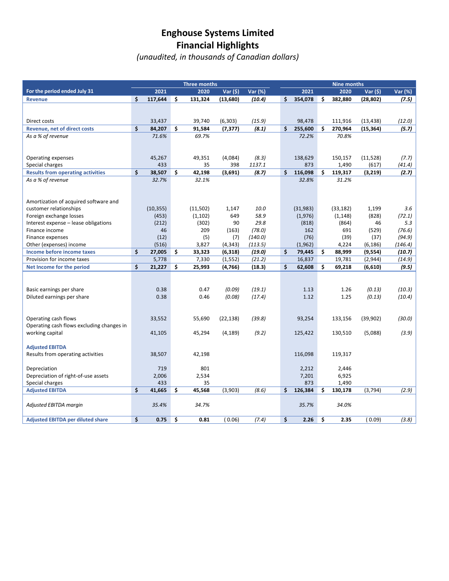## **Enghouse Systems Limited Financial Highlights**

*(unaudited, in thousands of Canadian dollars)*

|                                           | <b>Three months</b> |               |    |              | <b>Nine months</b> |                 |    |                |    |                  |                   |                 |
|-------------------------------------------|---------------------|---------------|----|--------------|--------------------|-----------------|----|----------------|----|------------------|-------------------|-----------------|
| For the period ended July 31              |                     | 2021          |    | 2020         | Var (\$)           | Var (%)         |    | 2021           |    | 2020             | Var (\$)          | Var (%)         |
| <b>Revenue</b>                            | \$                  | 117,644       | \$ | 131,324      | (13,680)           | (10.4)          | \$ | 354,078        | Ś. | 382.880          | (28, 802)         | (7.5)           |
|                                           |                     |               |    |              |                    |                 |    |                |    |                  |                   |                 |
|                                           |                     |               |    |              |                    |                 |    |                |    |                  |                   |                 |
| Direct costs                              |                     | 33,437        |    | 39,740       | (6, 303)           | (15.9)          |    | 98,478         |    | 111,916          | (13, 438)         | (12.0)          |
| <b>Revenue, net of direct costs</b>       | \$                  | 84,207        | \$ | 91,584       | (7, 377)           | (8.1)           | \$ | 255,600        | \$ | 270,964          | (15, 364)         | (5.7)           |
| As a % of revenue                         |                     | 71.6%         |    | 69.7%        |                    |                 |    | 72.2%          |    | 70.8%            |                   |                 |
|                                           |                     |               |    |              |                    |                 |    |                |    |                  |                   |                 |
|                                           |                     |               |    |              |                    |                 |    |                |    |                  |                   |                 |
| Operating expenses<br>Special charges     |                     | 45,267<br>433 |    | 49,351<br>35 | (4,084)<br>398     | (8.3)<br>1137.1 |    | 138,629<br>873 |    | 150,157<br>1,490 | (11,528)<br>(617) | (7.7)<br>(41.4) |
| <b>Results from operating activities</b>  | \$                  | 38,507        | \$ | 42,198       | (3,691)            | (8.7)           | \$ | 116,098        | \$ | 119,317          | (3, 219)          | (2.7)           |
| As a % of revenue                         |                     | 32.7%         |    | 32.1%        |                    |                 |    | 32.8%          |    | 31.2%            |                   |                 |
|                                           |                     |               |    |              |                    |                 |    |                |    |                  |                   |                 |
|                                           |                     |               |    |              |                    |                 |    |                |    |                  |                   |                 |
| Amortization of acquired software and     |                     |               |    |              |                    |                 |    |                |    |                  |                   |                 |
| customer relationships                    |                     | (10, 355)     |    | (11,502)     | 1,147              | 10.0            |    | (31, 983)      |    | (33, 182)        | 1,199             | 3.6             |
| Foreign exchange losses                   |                     | (453)         |    | (1, 102)     | 649                | 58.9            |    | (1,976)        |    | (1, 148)         | (828)             | (72.1)          |
| Interest expense - lease obligations      |                     | (212)         |    | (302)        | 90                 | 29.8            |    | (818)          |    | (864)            | 46                | 5.3             |
| Finance income                            |                     | 46            |    | 209          | (163)              | (78.0)          |    | 162            |    | 691              | (529)             | (76.6)          |
| Finance expenses                          |                     | (12)          |    | (5)          | (7)                | (140.0)         |    | (76)           |    | (39)             | (37)              | (94.9)          |
| Other (expenses) income                   |                     | (516)         |    | 3,827        | (4, 343)           | (113.5)         |    | (1, 962)       |    | 4,224            | (6, 186)          | (146.4)         |
| Income before income taxes                | \$                  | 27,005        | \$ | 33,323       | (6, 318)           | (19.0)          | \$ | 79,445         | \$ | 88,999           | (9, 554)          | (10.7)          |
| Provision for income taxes                |                     | 5,778         |    | 7,330        | (1, 552)           | (21.2)          |    | 16,837         |    | 19,781           | (2,944)           | (14.9)          |
| Net Income for the period                 | \$                  | 21,227        | \$ | 25,993       | (4, 766)           | (18.3)          | \$ | 62,608         | \$ | 69,218           | (6, 610)          | (9.5)           |
|                                           |                     |               |    |              |                    |                 |    |                |    |                  |                   |                 |
| Basic earnings per share                  |                     | 0.38          |    | 0.47         | (0.09)             | (19.1)          |    | 1.13           |    | 1.26             | (0.13)            | (10.3)          |
| Diluted earnings per share                |                     | 0.38          |    | 0.46         | (0.08)             | (17.4)          |    | 1.12           |    | 1.25             | (0.13)            | (10.4)          |
|                                           |                     |               |    |              |                    |                 |    |                |    |                  |                   |                 |
|                                           |                     |               |    |              |                    |                 |    |                |    |                  |                   |                 |
| Operating cash flows                      |                     | 33,552        |    | 55,690       | (22, 138)          | (39.8)          |    | 93,254         |    | 133,156          | (39,902)          | (30.0)          |
| Operating cash flows excluding changes in |                     |               |    |              |                    |                 |    |                |    |                  |                   |                 |
| working capital                           |                     | 41,105        |    | 45,294       | (4, 189)           | (9.2)           |    | 125,422        |    | 130,510          | (5,088)           | (3.9)           |
|                                           |                     |               |    |              |                    |                 |    |                |    |                  |                   |                 |
| <b>Adjusted EBITDA</b>                    |                     |               |    |              |                    |                 |    |                |    |                  |                   |                 |
| Results from operating activities         |                     | 38,507        |    | 42,198       |                    |                 |    | 116,098        |    | 119,317          |                   |                 |
|                                           |                     |               |    |              |                    |                 |    |                |    |                  |                   |                 |
| Depreciation                              |                     | 719           |    | 801          |                    |                 |    | 2,212          |    | 2,446            |                   |                 |
| Depreciation of right-of-use assets       |                     | 2,006         |    | 2,534        |                    |                 |    | 7,201          |    | 6,925            |                   |                 |
| Special charges                           |                     | 433           |    | 35           |                    |                 |    | 873            |    | 1,490            |                   |                 |
| <b>Adjusted EBITDA</b>                    | \$                  | 41,665        | \$ | 45,568       | (3,903)            | (8.6)           | \$ | 126,384        | \$ | 130,178          | (3,794)           | (2.9)           |
| Adjusted EBITDA margin                    |                     | 35.4%         |    | 34.7%        |                    |                 |    | 35.7%          |    | 34.0%            |                   |                 |
|                                           |                     |               |    |              |                    |                 |    |                |    |                  |                   |                 |
| <b>Adjusted EBITDA per diluted share</b>  | \$                  | 0.75          | \$ | 0.81         | (0.06)             | (7.4)           | \$ | 2.26           | \$ | 2.35             | (0.09)            | (3.8)           |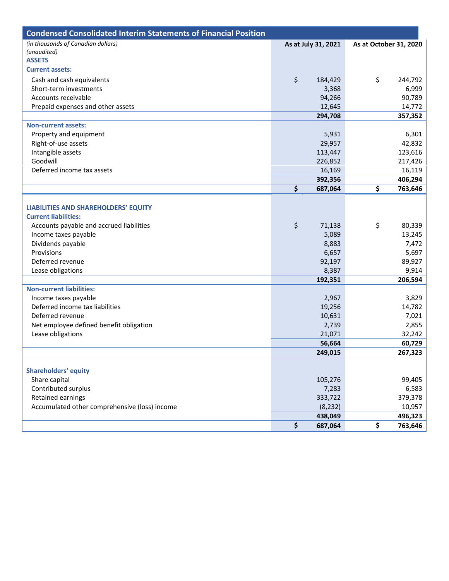| <b>Condensed Consolidated Interim Statements of Financial Position</b> |                     |                        |         |  |  |  |
|------------------------------------------------------------------------|---------------------|------------------------|---------|--|--|--|
| (in thousands of Canadian dollars)                                     | As at July 31, 2021 | As at October 31, 2020 |         |  |  |  |
| (unaudited)                                                            |                     |                        |         |  |  |  |
| <b>ASSETS</b>                                                          |                     |                        |         |  |  |  |
| <b>Current assets:</b>                                                 |                     |                        |         |  |  |  |
| Cash and cash equivalents                                              | \$<br>184,429       | \$                     | 244,792 |  |  |  |
| Short-term investments                                                 | 3,368               |                        | 6,999   |  |  |  |
| Accounts receivable                                                    | 94,266              |                        | 90,789  |  |  |  |
| Prepaid expenses and other assets                                      | 12,645              |                        | 14,772  |  |  |  |
|                                                                        | 294,708             |                        | 357,352 |  |  |  |
| <b>Non-current assets:</b>                                             |                     |                        |         |  |  |  |
| Property and equipment                                                 | 5,931               |                        | 6,301   |  |  |  |
| Right-of-use assets                                                    | 29,957              |                        | 42,832  |  |  |  |
| Intangible assets                                                      | 113,447             |                        | 123,616 |  |  |  |
| Goodwill                                                               | 226,852             |                        | 217,426 |  |  |  |
| Deferred income tax assets                                             | 16,169              |                        | 16,119  |  |  |  |
|                                                                        | 392,356             |                        | 406,294 |  |  |  |
|                                                                        | \$<br>687,064       | \$                     | 763,646 |  |  |  |
|                                                                        |                     |                        |         |  |  |  |
| <b>LIABILITIES AND SHAREHOLDERS' EQUITY</b>                            |                     |                        |         |  |  |  |
| <b>Current liabilities:</b>                                            |                     |                        |         |  |  |  |
| Accounts payable and accrued liabilities                               | \$<br>71,138        | \$                     | 80,339  |  |  |  |
| Income taxes payable                                                   | 5,089               |                        | 13,245  |  |  |  |
| Dividends payable                                                      | 8,883               |                        | 7,472   |  |  |  |
| Provisions                                                             | 6,657               |                        | 5,697   |  |  |  |
| Deferred revenue                                                       | 92,197              |                        | 89,927  |  |  |  |
| Lease obligations                                                      | 8,387               |                        | 9,914   |  |  |  |
|                                                                        | 192,351             |                        | 206,594 |  |  |  |
| <b>Non-current liabilities:</b>                                        |                     |                        |         |  |  |  |
| Income taxes payable                                                   | 2,967               |                        | 3,829   |  |  |  |
| Deferred income tax liabilities                                        | 19,256              |                        | 14,782  |  |  |  |
| Deferred revenue                                                       | 10,631              |                        | 7,021   |  |  |  |
| Net employee defined benefit obligation                                | 2,739               |                        | 2,855   |  |  |  |
| Lease obligations                                                      | 21,071              |                        | 32,242  |  |  |  |
|                                                                        | 56,664              |                        | 60,729  |  |  |  |
|                                                                        | 249,015             |                        | 267,323 |  |  |  |
|                                                                        |                     |                        |         |  |  |  |
| <b>Shareholders' equity</b>                                            |                     |                        |         |  |  |  |
| Share capital                                                          | 105,276             |                        | 99,405  |  |  |  |
| Contributed surplus                                                    | 7,283               |                        | 6,583   |  |  |  |
| Retained earnings                                                      | 333,722             |                        | 379,378 |  |  |  |
| Accumulated other comprehensive (loss) income                          | (8, 232)            |                        | 10,957  |  |  |  |
|                                                                        | 438,049             |                        | 496,323 |  |  |  |
|                                                                        | \$<br>687,064       | \$                     | 763,646 |  |  |  |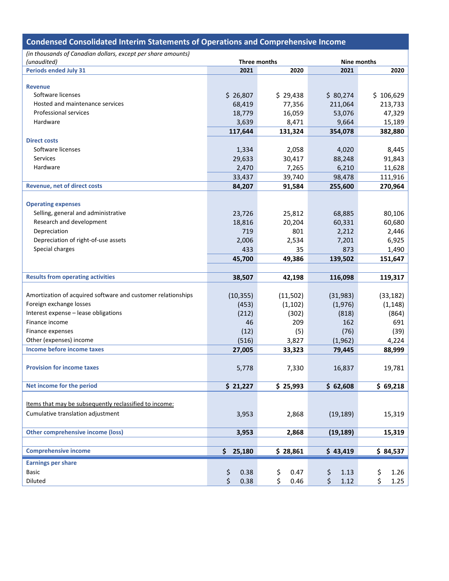| <b>Condensed Consolidated Interim Statements of Operations and Comprehensive Income</b> |              |              |              |             |
|-----------------------------------------------------------------------------------------|--------------|--------------|--------------|-------------|
| (in thousands of Canadian dollars, except per share amounts)                            |              |              |              |             |
| (unaudited)                                                                             |              | Three months |              | Nine months |
| <b>Periods ended July 31</b>                                                            | 2021         | 2020         | 2021         | 2020        |
|                                                                                         |              |              |              |             |
| <b>Revenue</b>                                                                          |              |              |              |             |
| Software licenses                                                                       | \$26,807     | \$29,438     | \$80,274     | \$106,629   |
| Hosted and maintenance services                                                         | 68,419       | 77,356       | 211,064      | 213,733     |
| <b>Professional services</b>                                                            | 18,779       | 16,059       | 53,076       | 47,329      |
| Hardware                                                                                | 3,639        | 8,471        | 9,664        | 15,189      |
|                                                                                         | 117,644      | 131,324      | 354,078      | 382,880     |
| <b>Direct costs</b>                                                                     |              |              |              |             |
| Software licenses                                                                       | 1,334        | 2,058        | 4,020        | 8,445       |
| Services                                                                                | 29,633       | 30,417       | 88,248       | 91,843      |
| Hardware                                                                                | 2,470        | 7,265        | 6,210        | 11,628      |
|                                                                                         | 33,437       | 39,740       | 98,478       | 111,916     |
| <b>Revenue, net of direct costs</b>                                                     | 84,207       | 91,584       | 255,600      | 270,964     |
|                                                                                         |              |              |              |             |
| <b>Operating expenses</b>                                                               |              |              |              |             |
| Selling, general and administrative                                                     | 23,726       | 25,812       | 68,885       | 80,106      |
| Research and development                                                                | 18,816       | 20,204       | 60,331       | 60,680      |
| Depreciation                                                                            | 719          | 801          | 2,212        | 2,446       |
| Depreciation of right-of-use assets                                                     | 2,006        | 2,534        | 7,201        | 6,925       |
| Special charges                                                                         | 433          | 35           | 873          | 1,490       |
|                                                                                         | 45,700       | 49,386       | 139,502      | 151,647     |
|                                                                                         |              |              |              |             |
| <b>Results from operating activities</b>                                                | 38,507       | 42,198       | 116,098      | 119,317     |
|                                                                                         |              |              |              |             |
| Amortization of acquired software and customer relationships                            | (10, 355)    | (11,502)     | (31,983)     | (33, 182)   |
| Foreign exchange losses                                                                 | (453)        | (1, 102)     | (1,976)      | (1, 148)    |
| Interest expense - lease obligations                                                    | (212)        | (302)        | (818)        | (864)       |
| Finance income                                                                          | 46           | 209          | 162          | 691         |
| Finance expenses                                                                        | (12)         | (5)          | (76)         | (39)        |
| Other (expenses) income                                                                 | (516)        | 3,827        | (1, 962)     | 4,224       |
| Income before income taxes                                                              | 27,005       | 33,323       | 79,445       | 88,999      |
|                                                                                         |              |              |              |             |
| <b>Provision for income taxes</b>                                                       | 5,778        | 7,330        | 16,837       | 19,781      |
|                                                                                         |              |              |              |             |
| Net income for the period                                                               | \$21,227     | \$25,993     | \$62,608     | \$69,218    |
|                                                                                         |              |              |              |             |
| Items that may be subsequently reclassified to income:                                  |              |              |              |             |
| Cumulative translation adjustment                                                       |              | 2,868        |              | 15,319      |
|                                                                                         | 3,953        |              | (19, 189)    |             |
|                                                                                         |              |              |              |             |
| <b>Other comprehensive income (loss)</b>                                                | 3,953        | 2,868        | (19, 189)    | 15,319      |
|                                                                                         |              |              |              |             |
| <b>Comprehensive income</b>                                                             | \$<br>25,180 | \$28,861     | \$43,419     | \$84,537    |
| <b>Earnings per share</b>                                                               |              |              |              |             |
| <b>Basic</b>                                                                            | \$<br>0.38   | \$<br>0.47   | \$<br>1.13   | \$<br>1.26  |
| Diluted                                                                                 | \$<br>0.38   | \$<br>0.46   | \$<br>$1.12$ | \$<br>1.25  |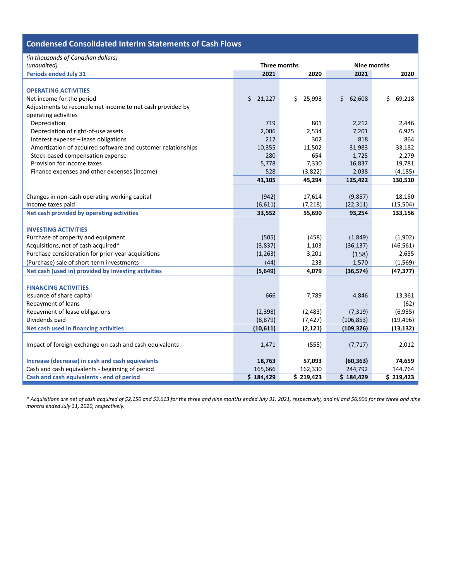## **Condensed Consolidated Interim Statements of Cash Flows**

| (in thousands of Canadian dollars)                           |              |              |             |              |  |  |  |  |
|--------------------------------------------------------------|--------------|--------------|-------------|--------------|--|--|--|--|
| (unaudited)                                                  | Three months |              | Nine months |              |  |  |  |  |
| <b>Periods ended July 31</b>                                 | 2021         | 2020         | 2021        | 2020         |  |  |  |  |
|                                                              |              |              |             |              |  |  |  |  |
| <b>OPERATING ACTIVITIES</b>                                  |              |              |             |              |  |  |  |  |
| Net income for the period                                    | \$21,227     | \$<br>25,993 | \$62,608    | \$<br>69,218 |  |  |  |  |
| Adjustments to reconcile net income to net cash provided by  |              |              |             |              |  |  |  |  |
| operating activities                                         |              |              |             |              |  |  |  |  |
| Depreciation                                                 | 719          | 801          | 2,212       | 2,446        |  |  |  |  |
| Depreciation of right-of-use assets                          | 2,006        | 2,534        | 7,201       | 6,925        |  |  |  |  |
| Interest expense - lease obligations                         | 212          | 302          | 818         | 864          |  |  |  |  |
| Amortization of acquired software and customer relationships | 10,355       | 11,502       | 31,983      | 33,182       |  |  |  |  |
| Stock-based compensation expense                             | 280          | 654          | 1,725       | 2,279        |  |  |  |  |
| Provision for income taxes                                   | 5,778        | 7,330        | 16,837      | 19,781       |  |  |  |  |
| Finance expenses and other expenses (income)                 | 528          | (3,822)      | 2,038       | (4, 185)     |  |  |  |  |
|                                                              | 41,105       | 45,294       | 125,422     | 130,510      |  |  |  |  |
|                                                              |              |              |             |              |  |  |  |  |
| Changes in non-cash operating working capital                | (942)        | 17,614       | (9,857)     | 18,150       |  |  |  |  |
| Income taxes paid                                            | (6,611)      | (7, 218)     | (22, 311)   | (15, 504)    |  |  |  |  |
| Net cash provided by operating activities                    | 33,552       | 55,690       | 93,254      | 133,156      |  |  |  |  |
|                                                              |              |              |             |              |  |  |  |  |
| <b>INVESTING ACTIVITIES</b>                                  |              |              |             |              |  |  |  |  |
| Purchase of property and equipment                           | (505)        | (458)        | (1,849)     | (1,902)      |  |  |  |  |
| Acquisitions, net of cash acquired*                          | (3,837)      | 1,103        | (36, 137)   | (46, 561)    |  |  |  |  |
| Purchase consideration for prior-year acquisitions           | (1,263)      | 3,201        | (158)       | 2,655        |  |  |  |  |
| (Purchase) sale of short-term investments                    | (44)         | 233          | 1,570       | (1, 569)     |  |  |  |  |
| Net cash (used in) provided by investing activities          | (5,649)      | 4,079        | (36, 574)   | (47, 377)    |  |  |  |  |
|                                                              |              |              |             |              |  |  |  |  |
| <b>FINANCING ACTIVITIES</b>                                  |              |              |             |              |  |  |  |  |
| Issuance of share capital                                    | 666          | 7,789        | 4,846       | 13,361       |  |  |  |  |
| Repayment of loans                                           |              |              |             | (62)         |  |  |  |  |
| Repayment of lease obligations                               | (2,398)      | (2,483)      | (7, 319)    | (6,935)      |  |  |  |  |
| Dividends paid                                               | (8, 879)     | (7, 427)     | (106, 853)  | (19, 496)    |  |  |  |  |
| Net cash used in financing activities                        | (10,611)     | (2, 121)     | (109, 326)  | (13, 132)    |  |  |  |  |
|                                                              |              |              |             |              |  |  |  |  |
| Impact of foreign exchange on cash and cash equivalents      | 1,471        | (555)        | (7, 717)    | 2,012        |  |  |  |  |
|                                                              |              |              |             |              |  |  |  |  |
| Increase (decrease) in cash and cash equivalents             | 18,763       | 57,093       | (60, 363)   | 74,659       |  |  |  |  |
| Cash and cash equivalents - beginning of period              | 165,666      | 162,330      | 244,792     | 144,764      |  |  |  |  |
| Cash and cash equivalents - end of period                    | \$184,429    | \$219,423    | \$184,429   | \$219,423    |  |  |  |  |

*\* Acquisitions are net of cash acquired of \$2,150 and \$3,613 for the three and nine months ended July 31, 2021, respectively, and nil and \$6,906 for the three and nine months ended July 31, 2020, respectively.*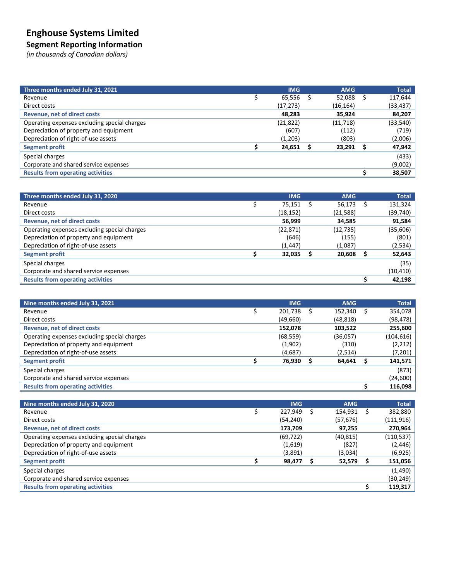# **Enghouse Systems Limited**

### **Segment Reporting Information**

*(in thousands of Canadian dollars)*

| Three months ended July 31, 2021             | <b>IMG</b> | <b>AMG</b> | <b>Total</b> |
|----------------------------------------------|------------|------------|--------------|
| Revenue                                      | 65,556     | 52,088     | 117,644      |
| Direct costs                                 | (17, 273)  | (16, 164)  | (33, 437)    |
| <b>Revenue, net of direct costs</b>          | 48,283     | 35,924     | 84,207       |
| Operating expenses excluding special charges | (21, 822)  | (11,718)   | (33, 540)    |
| Depreciation of property and equipment       | (607)      | (112)      | (719)        |
| Depreciation of right-of-use assets          | (1,203)    | (803)      | (2,006)      |
| <b>Segment profit</b>                        | 24,651     | 23,291     | 47,942       |
| Special charges                              |            |            | (433)        |
| Corporate and shared service expenses        |            |            | (9,002)      |
| <b>Results from operating activities</b>     |            |            | 38,507       |

| Three months ended July 31, 2020             | <b>IMG</b> | <b>AMG</b> | <b>Total</b> |
|----------------------------------------------|------------|------------|--------------|
| Revenue                                      | 75,151     | 56,173     | 131,324      |
| Direct costs                                 | (18, 152)  | (21, 588)  | (39, 740)    |
| <b>Revenue, net of direct costs</b>          | 56,999     | 34,585     | 91,584       |
| Operating expenses excluding special charges | (22, 871)  | (12, 735)  | (35,606)     |
| Depreciation of property and equipment       | (646)      | (155)      | (801)        |
| Depreciation of right-of-use assets          | (1, 447)   | (1,087)    | (2, 534)     |
| Segment profit                               | 32,035     | 20,608     | 52,643       |
| Special charges                              |            |            | (35)         |
| Corporate and shared service expenses        |            |            | (10, 410)    |
| <b>Results from operating activities</b>     |            |            | 42,198       |

| Nine months ended July 31, 2021              | <b>IMG</b> | <b>AMG</b> | <b>Total</b> |
|----------------------------------------------|------------|------------|--------------|
| Revenue                                      | 201,738    | 152,340    | 354,078      |
| Direct costs                                 | (49,660)   | (48, 818)  | (98, 478)    |
| <b>Revenue, net of direct costs</b>          | 152,078    | 103,522    | 255,600      |
| Operating expenses excluding special charges | (68, 559)  | (36,057)   | (104, 616)   |
| Depreciation of property and equipment       | (1,902)    | (310)      | (2,212)      |
| Depreciation of right-of-use assets          | (4,687)    | (2,514)    | (7,201)      |
| <b>Segment profit</b>                        | 76,930     | 64,641     | 141,571      |
| Special charges                              |            |            | (873)        |
| Corporate and shared service expenses        |            |            | (24,600)     |
| <b>Results from operating activities</b>     |            |            | 116,098      |

| Nine months ended July 31, 2020              | <b>IMG</b> | <b>AMG</b> | <b>Total</b> |
|----------------------------------------------|------------|------------|--------------|
| Revenue                                      | 227.949    | 154,931    | 382,880      |
| Direct costs                                 | (54, 240)  | (57, 676)  | (111, 916)   |
| <b>Revenue, net of direct costs</b>          | 173,709    | 97,255     | 270,964      |
| Operating expenses excluding special charges | (69, 722)  | (40, 815)  | (110, 537)   |
| Depreciation of property and equipment       | (1,619)    | (827)      | (2, 446)     |
| Depreciation of right-of-use assets          | (3,891)    | (3,034)    | (6, 925)     |
| <b>Segment profit</b>                        | 98,477     | 52,579     | 151,056      |
| Special charges                              |            |            | (1,490)      |
| Corporate and shared service expenses        |            |            | (30,249)     |
| <b>Results from operating activities</b>     |            |            | 119,317      |